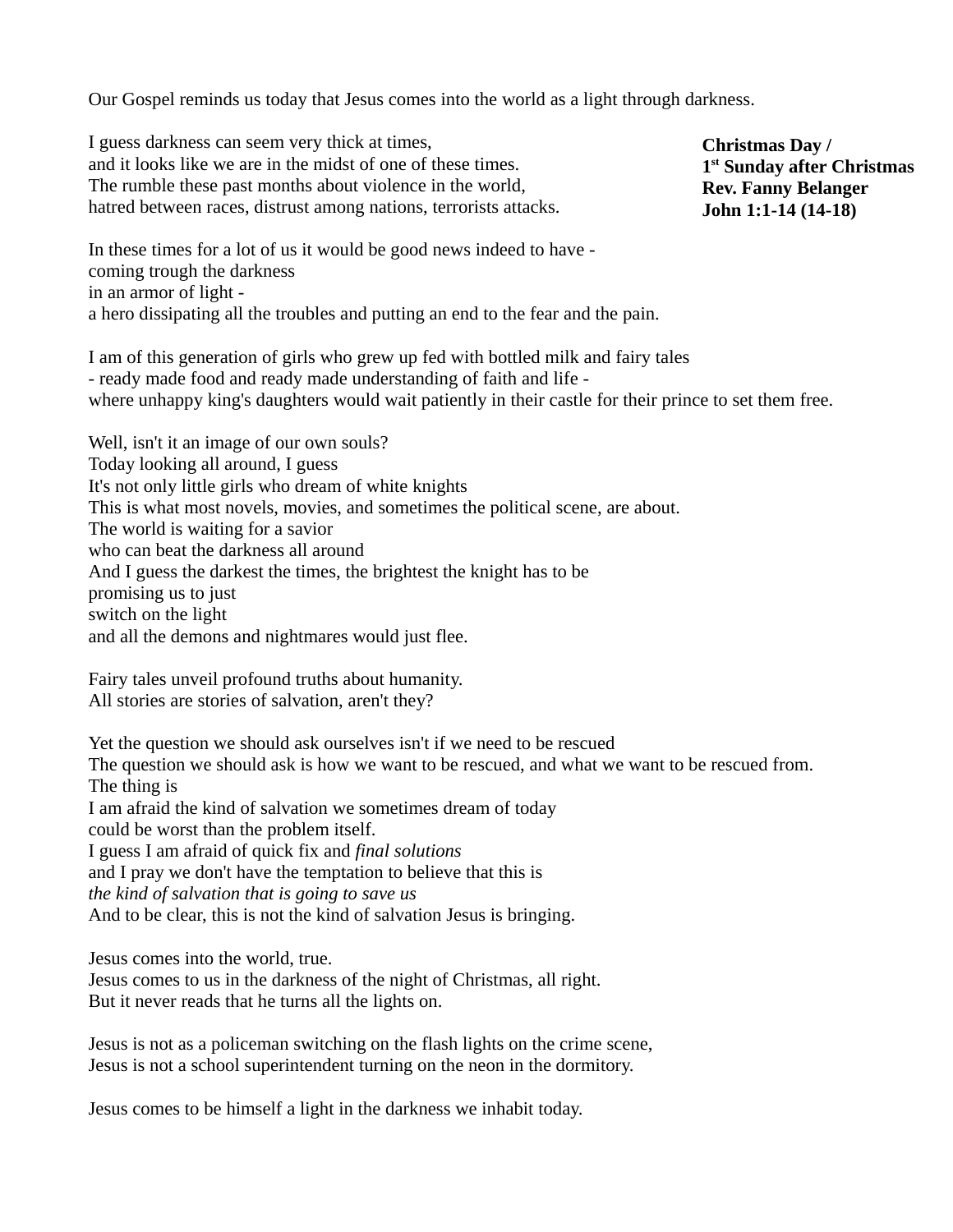Our Gospel reminds us today that Jesus comes into the world as a light through darkness.

I guess darkness can seem very thick at times, and it looks like we are in the midst of one of these times. The rumble these past months about violence in the world, hatred between races, distrust among nations, terrorists attacks.

**Christmas Day / 1 st Sunday after Christmas Rev. Fanny Belanger John 1:1-14 (14-18)**

In these times for a lot of us it would be good news indeed to have coming trough the darkness in an armor of light a hero dissipating all the troubles and putting an end to the fear and the pain.

I am of this generation of girls who grew up fed with bottled milk and fairy tales - ready made food and ready made understanding of faith and life where unhappy king's daughters would wait patiently in their castle for their prince to set them free.

Well, isn't it an image of our own souls? Today looking all around, I guess It's not only little girls who dream of white knights This is what most novels, movies, and sometimes the political scene, are about. The world is waiting for a savior who can beat the darkness all around And I guess the darkest the times, the brightest the knight has to be promising us to just switch on the light and all the demons and nightmares would just flee.

Fairy tales unveil profound truths about humanity. All stories are stories of salvation, aren't they?

Yet the question we should ask ourselves isn't if we need to be rescued The question we should ask is how we want to be rescued, and what we want to be rescued from. The thing is I am afraid the kind of salvation we sometimes dream of today could be worst than the problem itself. I guess I am afraid of quick fix and *final solutions* and I pray we don't have the temptation to believe that this is *the kind of salvation that is going to save us* And to be clear, this is not the kind of salvation Jesus is bringing.

Jesus comes into the world, true. Jesus comes to us in the darkness of the night of Christmas, all right. But it never reads that he turns all the lights on.

Jesus is not as a policeman switching on the flash lights on the crime scene, Jesus is not a school superintendent turning on the neon in the dormitory.

Jesus comes to be himself a light in the darkness we inhabit today.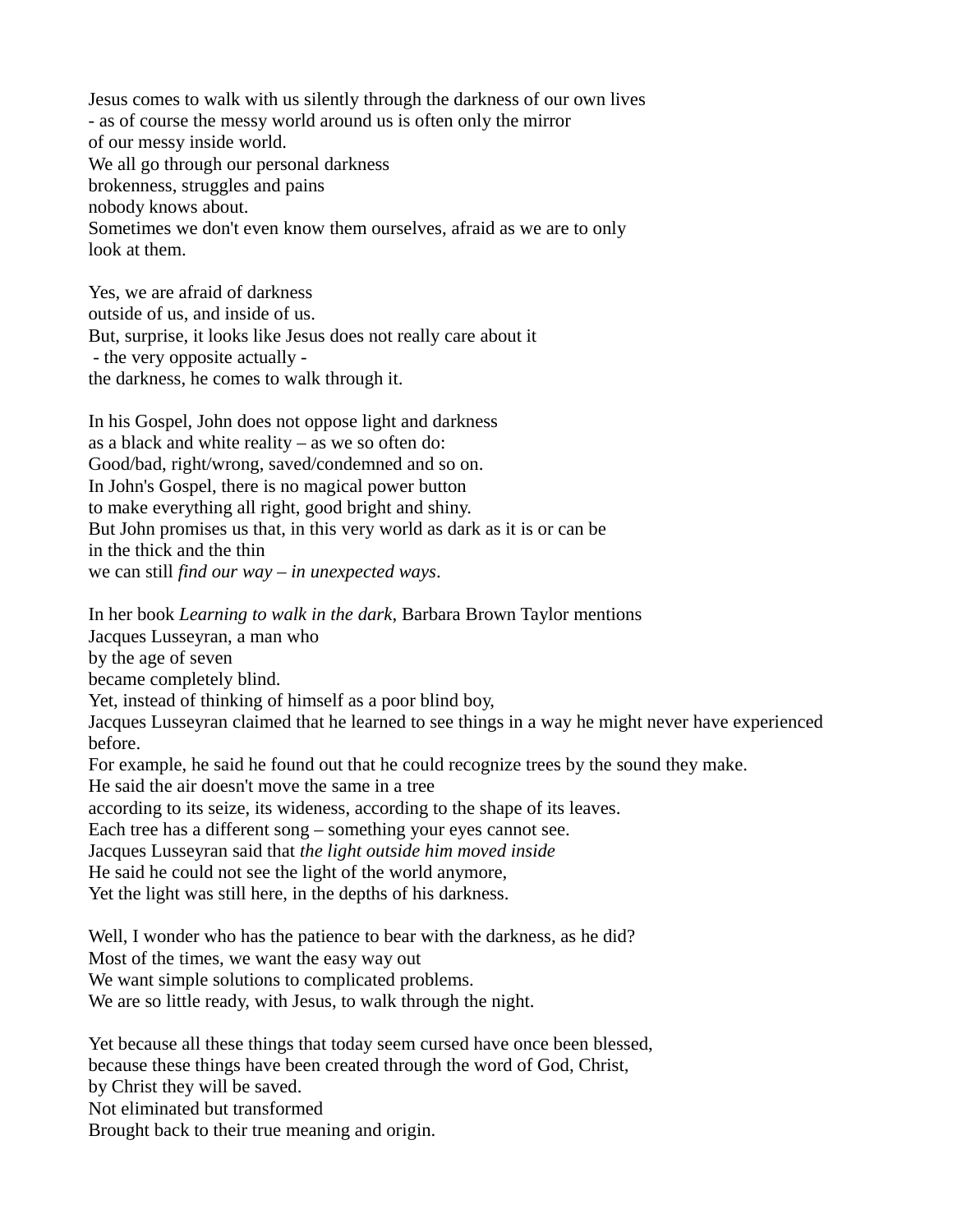Jesus comes to walk with us silently through the darkness of our own lives - as of course the messy world around us is often only the mirror of our messy inside world. We all go through our personal darkness brokenness, struggles and pains nobody knows about. Sometimes we don't even know them ourselves, afraid as we are to only look at them.

Yes, we are afraid of darkness outside of us, and inside of us. But, surprise, it looks like Jesus does not really care about it - the very opposite actually the darkness, he comes to walk through it.

In his Gospel, John does not oppose light and darkness as a black and white reality – as we so often do: Good/bad, right/wrong, saved/condemned and so on. In John's Gospel, there is no magical power button to make everything all right, good bright and shiny. But John promises us that, in this very world as dark as it is or can be in the thick and the thin we can still *find our way – in unexpected ways*.

In her book *Learning to walk in the dark*, Barbara Brown Taylor mentions

Jacques Lusseyran, a man who

by the age of seven

became completely blind.

Yet, instead of thinking of himself as a poor blind boy,

Jacques Lusseyran claimed that he learned to see things in a way he might never have experienced before.

For example, he said he found out that he could recognize trees by the sound they make.

He said the air doesn't move the same in a tree

according to its seize, its wideness, according to the shape of its leaves.

Each tree has a different song – something your eyes cannot see.

Jacques Lusseyran said that *the light outside him moved inside*

He said he could not see the light of the world anymore,

Yet the light was still here, in the depths of his darkness.

Well, I wonder who has the patience to bear with the darkness, as he did? Most of the times, we want the easy way out

We want simple solutions to complicated problems.

We are so little ready, with Jesus, to walk through the night.

Yet because all these things that today seem cursed have once been blessed, because these things have been created through the word of God, Christ, by Christ they will be saved. Not eliminated but transformed

Brought back to their true meaning and origin.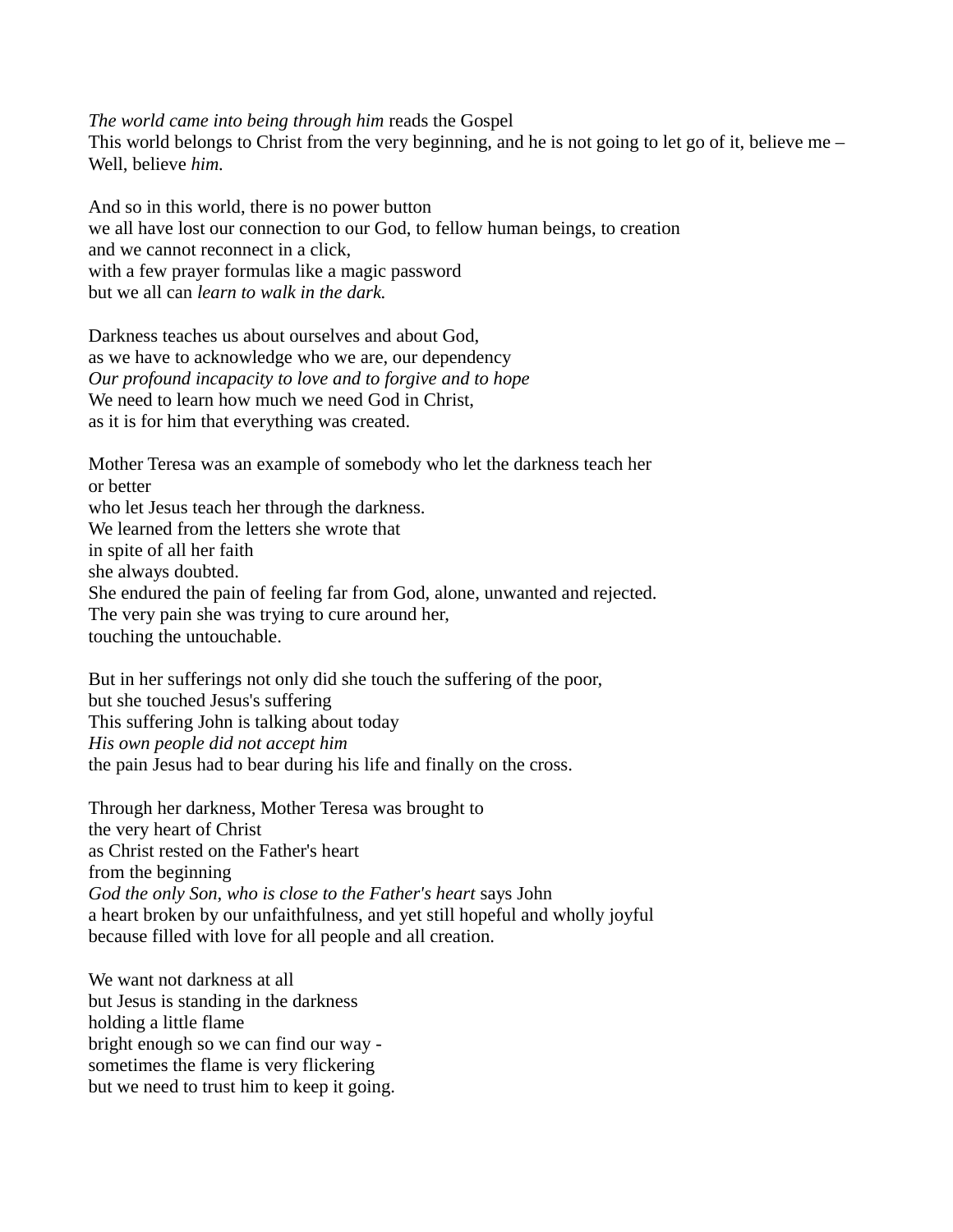*The world came into being through him* reads the Gospel

This world belongs to Christ from the very beginning, and he is not going to let go of it, believe me  $-$ Well, believe *him.*

And so in this world, there is no power button we all have lost our connection to our God, to fellow human beings, to creation and we cannot reconnect in a click, with a few prayer formulas like a magic password but we all can *learn to walk in the dark.* 

Darkness teaches us about ourselves and about God, as we have to acknowledge who we are, our dependency *Our profound incapacity to love and to forgive and to hope* We need to learn how much we need God in Christ, as it is for him that everything was created.

Mother Teresa was an example of somebody who let the darkness teach her or better who let Jesus teach her through the darkness. We learned from the letters she wrote that in spite of all her faith she always doubted. She endured the pain of feeling far from God, alone, unwanted and rejected. The very pain she was trying to cure around her, touching the untouchable.

But in her sufferings not only did she touch the suffering of the poor, but she touched Jesus's suffering This suffering John is talking about today *His own people did not accept him* the pain Jesus had to bear during his life and finally on the cross.

Through her darkness, Mother Teresa was brought to the very heart of Christ as Christ rested on the Father's heart from the beginning *God the only Son, who is close to the Father's heart* says John a heart broken by our unfaithfulness, and yet still hopeful and wholly joyful because filled with love for all people and all creation.

We want not darkness at all but Jesus is standing in the darkness holding a little flame bright enough so we can find our way sometimes the flame is very flickering but we need to trust him to keep it going.